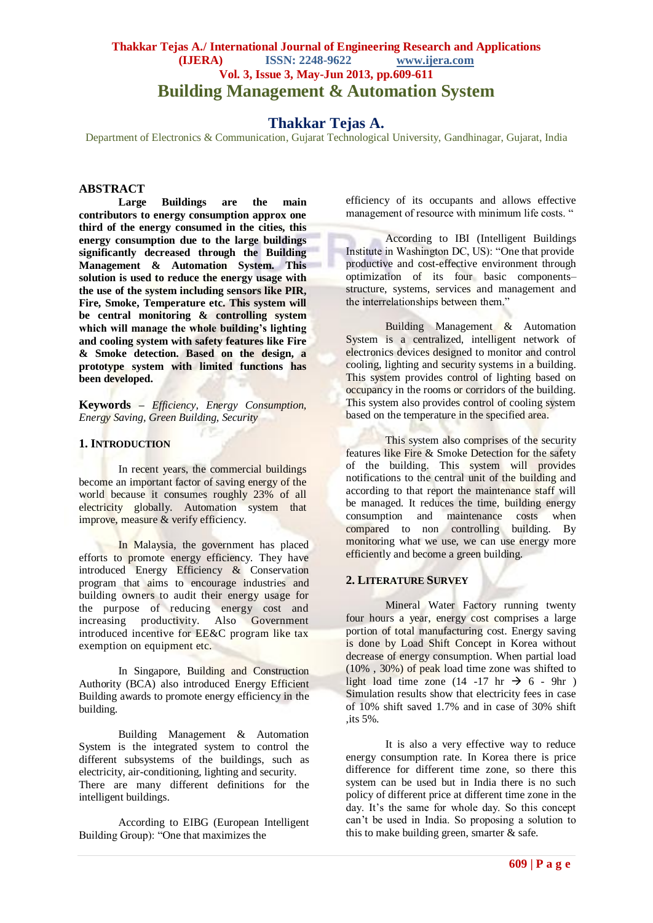# **Thakkar Tejas A./ International Journal of Engineering Research and Applications (IJERA) ISSN: 2248-9622 www.ijera.com Vol. 3, Issue 3, May-Jun 2013, pp.609-611 Building Management & Automation System**

# **Thakkar Tejas A.**

Department of Electronics & Communication, Gujarat Technological University, Gandhinagar, Gujarat, India

### **ABSTRACT**

**Large Buildings are the main contributors to energy consumption approx one third of the energy consumed in the cities, this energy consumption due to the large buildings significantly decreased through the Building Management & Automation System. This solution is used to reduce the energy usage with the use of the system including sensors like PIR, Fire, Smoke, Temperature etc. This system will be central monitoring & controlling system which will manage the whole building's lighting and cooling system with safety features like Fire & Smoke detection. Based on the design, a prototype system with limited functions has been developed.**

**Keywords –** *Efficiency, Energy Consumption, Energy Saving, Green Building, Security*

# **1. INTRODUCTION**

In recent years, the commercial buildings become an important factor of saving energy of the world because it consumes roughly 23% of all electricity globally. Automation system that improve, measure & verify efficiency.

In Malaysia, the government has placed efforts to promote energy efficiency. They have introduced Energy Efficiency & Conservation program that aims to encourage industries and building owners to audit their energy usage for the purpose of reducing energy cost and increasing productivity. Also Government introduced incentive for EE&C program like tax exemption on equipment etc.

In Singapore, Building and Construction Authority (BCA) also introduced Energy Efficient Building awards to promote energy efficiency in the building.

Building Management & Automation System is the integrated system to control the different subsystems of the buildings, such as electricity, air-conditioning, lighting and security. There are many different definitions for the intelligent buildings.

According to EIBG (European Intelligent Building Group): "One that maximizes the

efficiency of its occupants and allows effective management of resource with minimum life costs. "

According to IBI (Intelligent Buildings Institute in Washington DC, US): "One that provide productive and cost-effective environment through optimization of its four basic components– structure, systems, services and management and the interrelationships between them."

Building Management & Automation System is a centralized, intelligent network of electronics devices designed to monitor and control cooling, lighting and security systems in a building. This system provides control of lighting based on occupancy in the rooms or corridors of the building. This system also provides control of cooling system based on the temperature in the specified area.

This system also comprises of the security features like Fire & Smoke Detection for the safety of the building. This system will provides notifications to the central unit of the building and according to that report the maintenance staff will be managed. It reduces the time, building energy consumption and maintenance costs when compared to non controlling building. By monitoring what we use, we can use energy more efficiently and become a green building.

#### **2. LITERATURE SURVEY**

Mineral Water Factory running twenty four hours a year, energy cost comprises a large portion of total manufacturing cost. Energy saving is done by Load Shift Concept in Korea without decrease of energy consumption. When partial load (10% , 30%) of peak load time zone was shifted to light load time zone (14 -17 hr  $\rightarrow$  6 - 9hr) Simulation results show that electricity fees in case of 10% shift saved 1.7% and in case of 30% shift ,its 5%.

It is also a very effective way to reduce energy consumption rate. In Korea there is price difference for different time zone, so there this system can be used but in India there is no such policy of different price at different time zone in the day. It's the same for whole day. So this concept can't be used in India. So proposing a solution to this to make building green, smarter  $\&$  safe.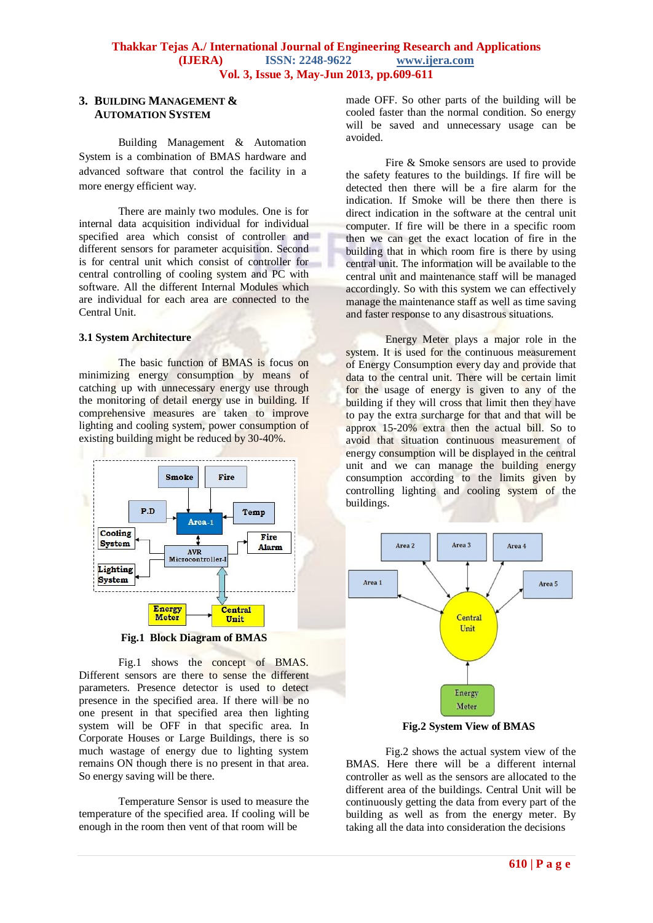# **3. BUILDING MANAGEMENT & AUTOMATION SYSTEM**

Building Management & Automation System is a combination of BMAS hardware and advanced software that control the facility in a more energy efficient way.

There are mainly two modules. One is for internal data acquisition individual for individual specified area which consist of controller and different sensors for parameter acquisition. Second is for central unit which consist of controller for central controlling of cooling system and PC with software. All the different Internal Modules which are individual for each area are connected to the Central Unit.

# **3.1 System Architecture**

The basic function of BMAS is focus on minimizing energy consumption by means of catching up with unnecessary energy use through the monitoring of detail energy use in building. If comprehensive measures are taken to improve lighting and cooling system, power consumption of existing building might be reduced by 30-40%.



**Fig.1 Block Diagram of BMAS**

Fig.1 shows the concept of BMAS. Different sensors are there to sense the different parameters. Presence detector is used to detect presence in the specified area. If there will be no one present in that specified area then lighting system will be OFF in that specific area. In Corporate Houses or Large Buildings, there is so much wastage of energy due to lighting system remains ON though there is no present in that area. So energy saving will be there.

Temperature Sensor is used to measure the temperature of the specified area. If cooling will be enough in the room then vent of that room will be

made OFF. So other parts of the building will be cooled faster than the normal condition. So energy will be saved and unnecessary usage can be avoided.

Fire & Smoke sensors are used to provide the safety features to the buildings. If fire will be detected then there will be a fire alarm for the indication. If Smoke will be there then there is direct indication in the software at the central unit computer. If fire will be there in a specific room then we can get the exact location of fire in the building that in which room fire is there by using central unit. The information will be available to the central unit and maintenance staff will be managed accordingly. So with this system we can effectively manage the maintenance staff as well as time saving and faster response to any disastrous situations.

Energy Meter plays a major role in the system. It is used for the continuous measurement of Energy Consumption every day and provide that data to the central unit. There will be certain limit for the usage of energy is given to any of the building if they will cross that limit then they have to pay the extra surcharge for that and that will be approx 15-20% extra then the actual bill. So to avoid that situation continuous measurement of energy consumption will be displayed in the central unit and we can manage the building energy consumption according to the limits given by controlling lighting and cooling system of the buildings.



**Fig.2 System View of BMAS**

Fig.2 shows the actual system view of the BMAS. Here there will be a different internal controller as well as the sensors are allocated to the different area of the buildings. Central Unit will be continuously getting the data from every part of the building as well as from the energy meter. By taking all the data into consideration the decisions